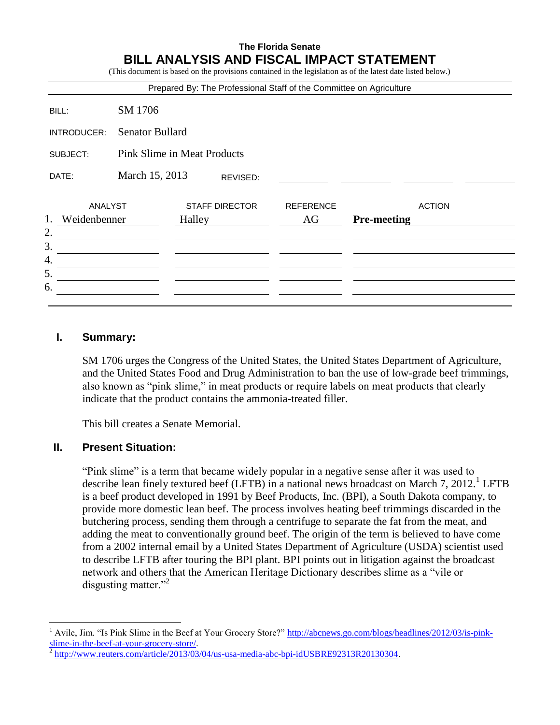## **The Florida Senate BILL ANALYSIS AND FISCAL IMPACT STATEMENT**

| (This document is based on the provisions contained in the legislation as of the latest date listed below.) |  |
|-------------------------------------------------------------------------------------------------------------|--|
|                                                                                                             |  |

|                |                                |                                    |                                 |          | Prepared By: The Professional Staff of the Committee on Agriculture |                    |               |  |
|----------------|--------------------------------|------------------------------------|---------------------------------|----------|---------------------------------------------------------------------|--------------------|---------------|--|
| BILL:          |                                | SM 1706                            |                                 |          |                                                                     |                    |               |  |
| INTRODUCER:    |                                | <b>Senator Bullard</b>             |                                 |          |                                                                     |                    |               |  |
| SUBJECT:       |                                | <b>Pink Slime in Meat Products</b> |                                 |          |                                                                     |                    |               |  |
| DATE:          |                                | March 15, 2013                     |                                 | REVISED: |                                                                     |                    |               |  |
| 1.<br>2.<br>3. | <b>ANALYST</b><br>Weidenbenner |                                    | <b>STAFF DIRECTOR</b><br>Halley |          | <b>REFERENCE</b><br>AG                                              | <b>Pre-meeting</b> | <b>ACTION</b> |  |
| 4.<br>5.<br>6. |                                |                                    |                                 |          |                                                                     |                    |               |  |

#### **I. Summary:**

SM 1706 urges the Congress of the United States, the United States Department of Agriculture, and the United States Food and Drug Administration to ban the use of low-grade beef trimmings, also known as "pink slime," in meat products or require labels on meat products that clearly indicate that the product contains the ammonia-treated filler.

This bill creates a Senate Memorial.

#### **II. Present Situation:**

 $\overline{a}$ 

"Pink slime" is a term that became widely popular in a negative sense after it was used to describe lean finely textured beef (LFTB) in a national news broadcast on March 7, 2012.<sup>1</sup> LFTB is a beef product developed in 1991 by Beef Products, Inc. (BPI), a South Dakota company, to provide more domestic lean beef. The process involves heating beef trimmings discarded in the butchering process, sending them through a centrifuge to separate the fat from the meat, and adding the meat to conventionally ground beef. The origin of the term is believed to have come from a 2002 internal email by a United States Department of Agriculture (USDA) scientist used to describe LFTB after touring the BPI plant. BPI points out in litigation against the broadcast network and others that the American Heritage Dictionary describes slime as a "vile or disgusting matter."<sup>2</sup>

<sup>1</sup> Avile, Jim. "Is Pink Slime in the Beef at Your Grocery Store?" [http://abcnews.go.com/blogs/headlines/2012/03/is-pink](http://abcnews.go.com/blogs/headlines/2012/03/is-pink-slime-in-the-beef-at-your-grocery-store/)[slime-in-the-beef-at-your-grocery-store/.](http://abcnews.go.com/blogs/headlines/2012/03/is-pink-slime-in-the-beef-at-your-grocery-store/)

<sup>2</sup> [http://www.reuters.com/article/2013/03/04/us-usa-media-abc-bpi-idUSBRE92313R20130304.](http://www.reuters.com/article/2013/03/04/us-usa-media-abc-bpi-idUSBRE92313R20130304)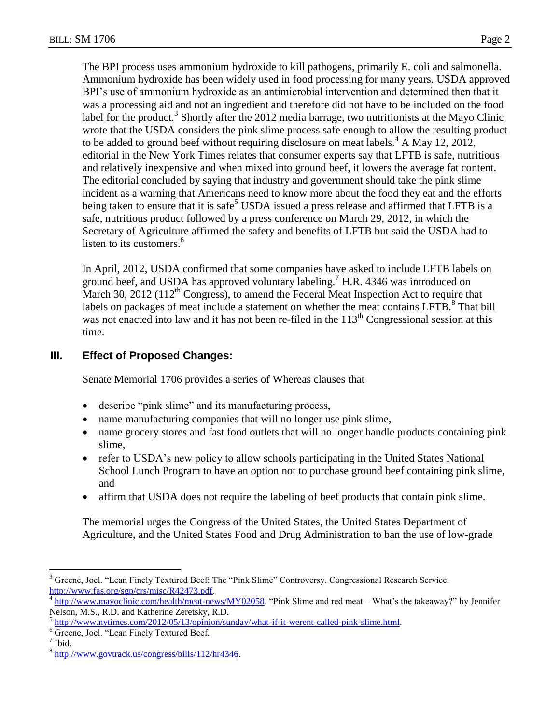The BPI process uses ammonium hydroxide to kill pathogens, primarily E. coli and salmonella. Ammonium hydroxide has been widely used in food processing for many years. USDA approved BPI's use of ammonium hydroxide as an antimicrobial intervention and determined then that it was a processing aid and not an ingredient and therefore did not have to be included on the food label for the product.<sup>3</sup> Shortly after the 2012 media barrage, two nutritionists at the Mayo Clinic wrote that the USDA considers the pink slime process safe enough to allow the resulting product to be added to ground beef without requiring disclosure on meat labels.<sup>4</sup> A May 12, 2012, editorial in the New York Times relates that consumer experts say that LFTB is safe, nutritious and relatively inexpensive and when mixed into ground beef, it lowers the average fat content. The editorial concluded by saying that industry and government should take the pink slime incident as a warning that Americans need to know more about the food they eat and the efforts being taken to ensure that it is safe<sup>5</sup> USDA issued a press release and affirmed that LFTB is a safe, nutritious product followed by a press conference on March 29, 2012, in which the Secretary of Agriculture affirmed the safety and benefits of LFTB but said the USDA had to listen to its customers.<sup>6</sup>

In April, 2012, USDA confirmed that some companies have asked to include LFTB labels on ground beef, and USDA has approved voluntary labeling.<sup>7</sup> H.R. 4346 was introduced on March 30, 2012 (112<sup>th</sup> Congress), to amend the Federal Meat Inspection Act to require that labels on packages of meat include a statement on whether the meat contains LFTB. $\mathrm{^{8}}$  That bill was not enacted into law and it has not been re-filed in the  $113<sup>th</sup>$  Congressional session at this time.

# **III. Effect of Proposed Changes:**

Senate Memorial 1706 provides a series of Whereas clauses that

- describe "pink slime" and its manufacturing process,
- name manufacturing companies that will no longer use pink slime,
- name grocery stores and fast food outlets that will no longer handle products containing pink slime,
- refer to USDA's new policy to allow schools participating in the United States National School Lunch Program to have an option not to purchase ground beef containing pink slime, and
- affirm that USDA does not require the labeling of beef products that contain pink slime.

The memorial urges the Congress of the United States, the United States Department of Agriculture, and the United States Food and Drug Administration to ban the use of low-grade

 $\overline{a}$ <sup>3</sup> Greene, Joel. "Lean Finely Textured Beef: The "Pink Slime" Controversy. Congressional Research Service. [http://www.fas.org/sgp/crs/misc/R42473.pdf.](http://www.fas.org/sgp/crs/misc/R42473.pdf)

<sup>4</sup> [http://www.mayoclinic.com/health/meat-news/MY02058.](http://www.mayoclinic.com/health/meat-news/MY02058) "Pink Slime and red meat – What's the takeaway?" by Jennifer Nelson, M.S., R.D. and Katherine Zeretsky, R.D.

<sup>&</sup>lt;sup>5</sup> [http://www.nytimes.com/2012/05/13/opinion/sunday/what-if-it-werent-called-pink-slime.html.](http://www.nytimes.com/2012/05/13/opinion/sunday/what-if-it-werent-called-pink-slime.html)

<sup>6</sup> Greene, Joel. "Lean Finely Textured Beef.

<sup>7</sup> Ibid.

<sup>&</sup>lt;sup>8</sup> [http://www.govtrack.us/congress/bills/112/hr4346.](http://www.govtrack.us/congress/bills/112/hr4346)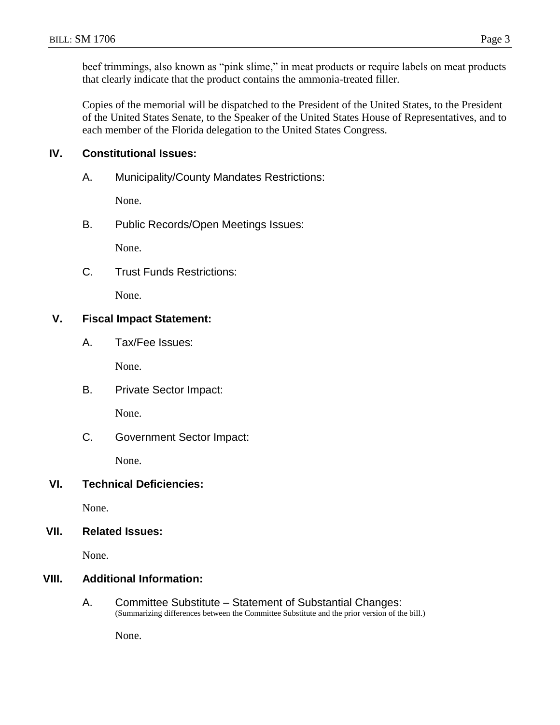beef trimmings, also known as "pink slime," in meat products or require labels on meat products that clearly indicate that the product contains the ammonia-treated filler.

Copies of the memorial will be dispatched to the President of the United States, to the President of the United States Senate, to the Speaker of the United States House of Representatives, and to each member of the Florida delegation to the United States Congress.

## **IV. Constitutional Issues:**

A. Municipality/County Mandates Restrictions:

None.

B. Public Records/Open Meetings Issues:

None.

C. Trust Funds Restrictions:

None.

## **V. Fiscal Impact Statement:**

A. Tax/Fee Issues:

None.

B. Private Sector Impact:

None.

C. Government Sector Impact:

None.

#### **VI. Technical Deficiencies:**

None.

#### **VII. Related Issues:**

None.

## **VIII. Additional Information:**

A. Committee Substitute – Statement of Substantial Changes: (Summarizing differences between the Committee Substitute and the prior version of the bill.)

None.